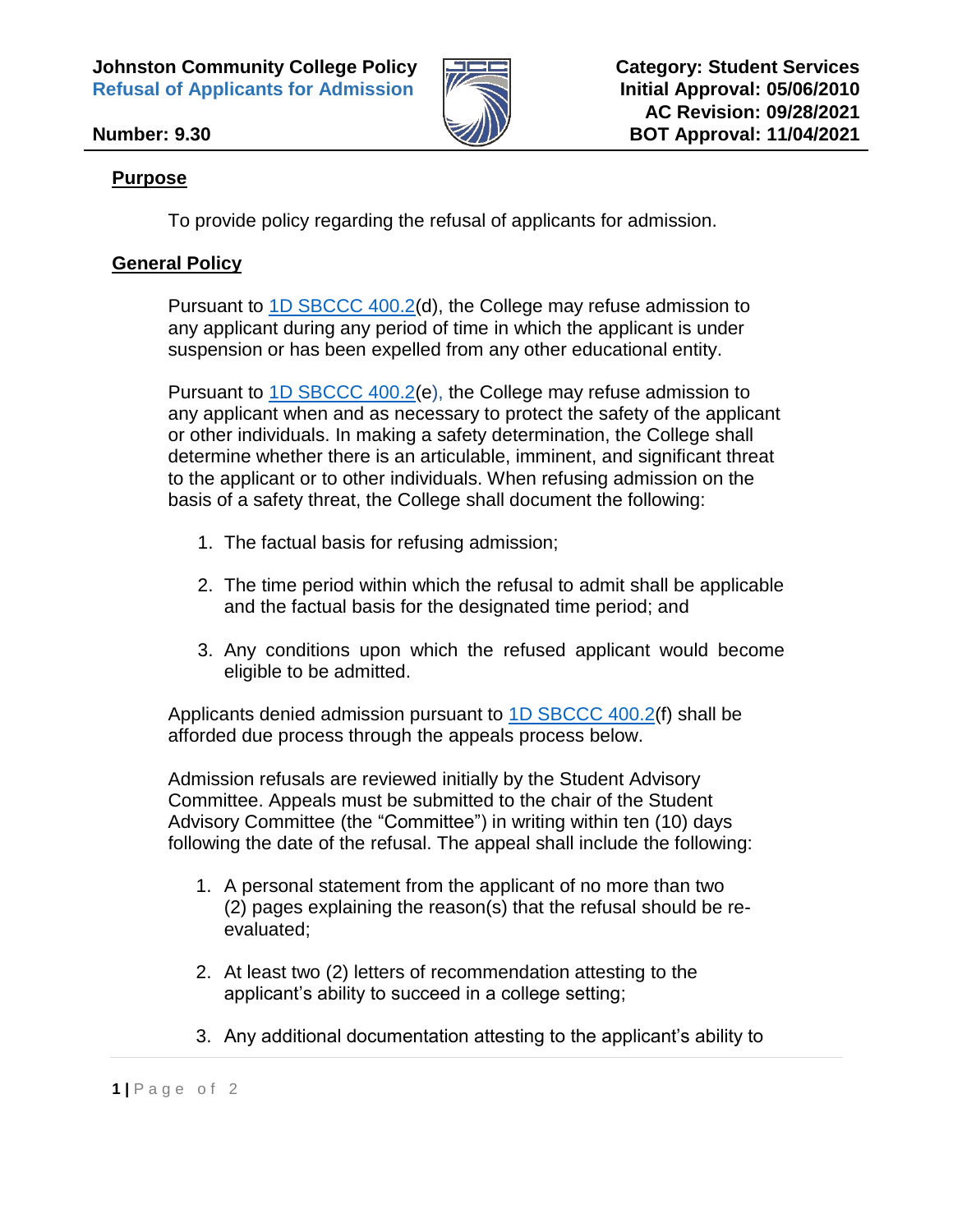**Johnston Community College Policy 2008 2008 Category: Student Services Refusal of Applicants for Admission**  $\mathbb{W}$  **set all approval: 05/06/2010** 



## **Purpose**

To provide policy regarding the refusal of applicants for admission.

## **General Policy**

Pursuant to [1D SBCCC 400.2\(](https://www.nccommunitycolleges.edu/sbcccode/1d-sbccc-4002-admission-colleges)d), the College may refuse admission to any applicant during any period of time in which the applicant is under suspension or has been expelled from any other educational entity.

Pursuant to [1D SBCCC 400.2\(](https://www.nccommunitycolleges.edu/sbcccode/1d-sbccc-4002-admission-colleges)e), the College may refuse admission to any applicant when and as necessary to protect the safety of the applicant or other individuals. In making a safety determination, the College shall determine whether there is an articulable, imminent, and significant threat to the applicant or to other individuals. When refusing admission on the basis of a safety threat, the College shall document the following:

- 1. The factual basis for refusing admission;
- 2. The time period within which the refusal to admit shall be applicable and the factual basis for the designated time period; and
- 3. Any conditions upon which the refused applicant would become eligible to be admitted.

Applicants denied admission pursuant to [1D SBCCC 400.2\(](https://www.nccommunitycolleges.edu/sbcccode/1d-sbccc-4002-admission-colleges)f) shall be afforded due process through the appeals process below.

Admission refusals are reviewed initially by the Student Advisory Committee. Appeals must be submitted to the chair of the Student Advisory Committee (the "Committee") in writing within ten (10) days following the date of the refusal. The appeal shall include the following:

- 1. A personal statement from the applicant of no more than two (2) pages explaining the reason(s) that the refusal should be reevaluated;
- 2. At least two (2) letters of recommendation attesting to the applicant's ability to succeed in a college setting;
- 3. Any additional documentation attesting to the applicant's ability to

**<sup>1</sup> |** P a g e o f 2